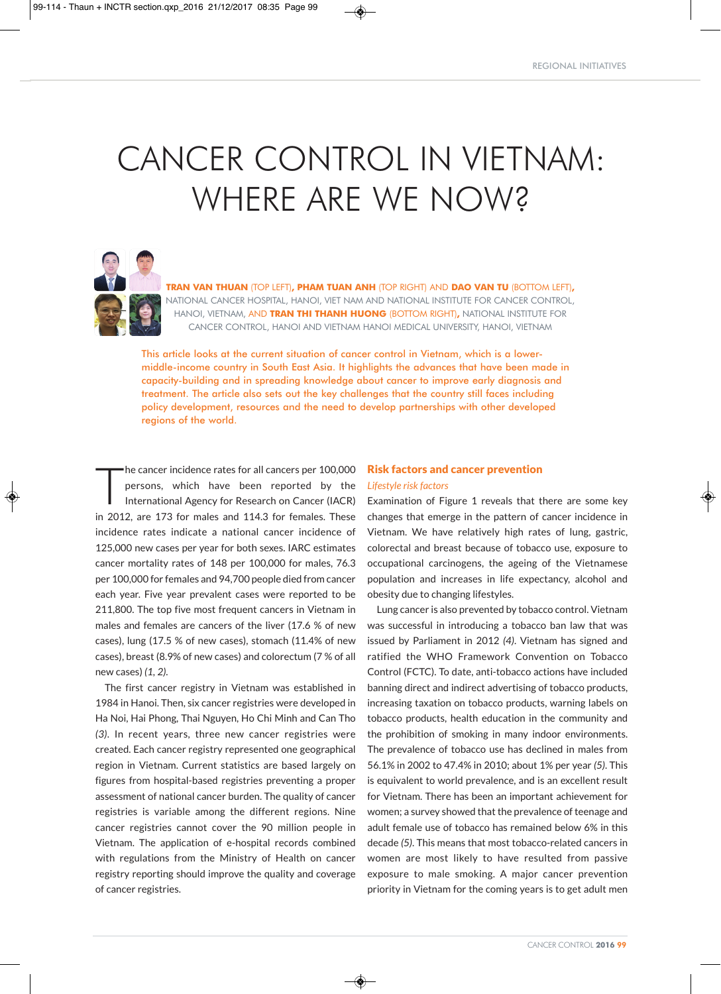# CANCER CONTROL IN VIETNAM: WHERE ARE WE NOW?



**TRAN VAN THUAN** (TOP LEFT)**, PHAM TUAN ANH** (TOP RIGHT) AND **DAO VAN TU** (BOTTOM LEFT)**,** NATIONAL CANCER HOSPITAL, HANOI, VIET NAM AND NATIONAL INSTITUTE FOR CANCER CONTROL, HANOI, VIETNAM, AND **TRAN THI THANH HUONG** (BOTTOM RIGHT)**,** NATIONAL INSTITUTE FOR CANCER CONTROL, HANOI AND VIETNAM HANOI MEDICAL UNIVERSITY, HANOI, VIETNAM

This article looks at the current situation of cancer control in Vietnam, which is a lowermiddle-income country in South East Asia. It highlights the advances that have been made in capacity-building and in spreading knowledge about cancer to improve early diagnosis and treatment. The article also sets out the key challenges that the country still faces including policy development, resources and the need to develop partnerships with other developed regions of the world.

 $\prod_{i=1}^n$ he cancer incidence rates for all cancers per 100,000 persons, which have been reported by the International Agency for Research on Cancer (IACR) in 2012, are 173 for males and 114.3 for females. These incidence rates indicate a national cancer incidence of 125,000 new cases per year for both sexes. IARC estimates cancer mortality rates of 148 per 100,000 for males, 76.3 per 100,000 for females and 94,700 people died from cancer each year. Five year prevalent cases were reported to be 211,800. The top five most frequent cancers in Vietnam in males and females are cancers of the liver (17.6 % of new cases), lung (17.5 % of new cases), stomach (11.4% of new cases), breast (8.9% of new cases) and colorectum (7 % of all new cases) *(1, 2)*.

The first cancer registry in Vietnam was established in 1984 in Hanoi. Then, six cancer registries were developed in Ha Noi, Hai Phong, Thai Nguyen, Ho Chi Minh and Can Tho *(3)*. In recent years, three new cancer registries were created. Each cancer registry represented one geographical region in Vietnam. Current statistics are based largely on figures from hospital-based registries preventing a proper assessment of national cancer burden. The quality of cancer registries is variable among the different regions. Nine cancer registries cannot cover the 90 million people in Vietnam. The application of e-hospital records combined with regulations from the Ministry of Health on cancer registry reporting should improve the quality and coverage of cancer registries.

# Risk factors and cancer prevention *Lifestyle risk factors*

Examination of Figure 1 reveals that there are some key changes that emerge in the pattern of cancer incidence in Vietnam. We have relatively high rates of lung, gastric, colorectal and breast because of tobacco use, exposure to occupational carcinogens, the ageing of the Vietnamese population and increases in life expectancy, alcohol and obesity due to changing lifestyles.

Lung cancer is also prevented by tobacco control. Vietnam was successful in introducing a tobacco ban law that was issued by Parliament in 2012 *(4)*. Vietnam has signed and ratified the WHO Framework Convention on Tobacco Control (FCTC). To date, anti-tobacco actions have included banning direct and indirect advertising of tobacco products, increasing taxation on tobacco products, warning labels on tobacco products, health education in the community and the prohibition of smoking in many indoor environments. The prevalence of tobacco use has declined in males from 56.1% in 2002 to 47.4% in 2010; about 1% per year *(5)*. This is equivalent to world prevalence, and is an excellent result for Vietnam. There has been an important achievement for women; a survey showed that the prevalence of teenage and adult female use of tobacco has remained below 6% in this decade *(5)*. This means that most tobacco-related cancers in women are most likely to have resulted from passive exposure to male smoking. A major cancer prevention priority in Vietnam for the coming years is to get adult men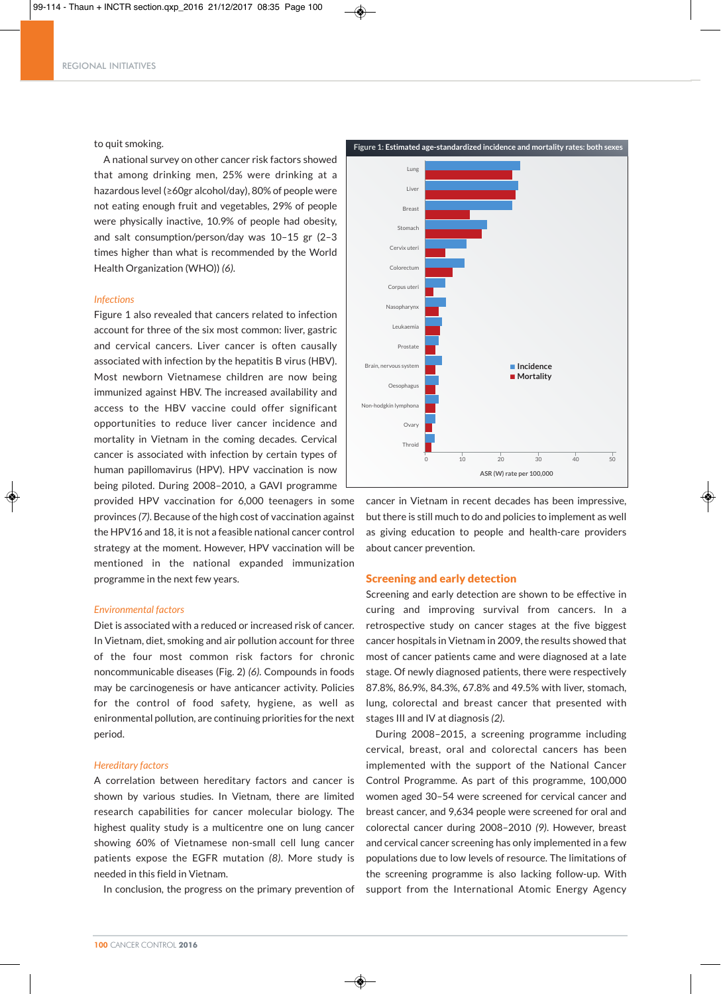

# to quit smoking.

A national survey on other cancer risk factors showed that among drinking men, 25% were drinking at a hazardous level (≥60gr alcohol/day), 80% of people were not eating enough fruit and vegetables, 29% of people were physically inactive, 10.9% of people had obesity, and salt consumption/person/day was 10–15 gr (2–3 times higher than what is recommended by the World Health Organization (WHO)) *(6)*.

## *Infections*

Figure 1 also revealed that cancers related to infection account for three of the six most common: liver, gastric and cervical cancers. Liver cancer is often causally associated with infection by the hepatitis B virus (HBV). Most newborn Vietnamese children are now being immunized against HBV. The increased availability and access to the HBV vaccine could offer significant opportunities to reduce liver cancer incidence and mortality in Vietnam in the coming decades. Cervical cancer is associated with infection by certain types of human papillomavirus (HPV). HPV vaccination is now being piloted. During 2008–2010, a GAVI programme provided HPV vaccination for 6,000 teenagers in some provinces *(7)*. Because of the high cost of vaccination against the HPV16 and 18, it is not a feasible national cancer control strategy at the moment. However, HPV vaccination will be mentioned in the national expanded immunization programme in the next few years.

# *Environmental factors*

Diet is associated with a reduced or increased risk of cancer. In Vietnam, diet, smoking and air pollution account for three of the four most common risk factors for chronic noncommunicable diseases (Fig. 2) *(6).* Compounds in foods may be carcinogenesis or have anticancer activity. Policies for the control of food safety, hygiene, as well as enironmental pollution, are continuing priorities for the next period.

# *Hereditary factors*

A correlation between hereditary factors and cancer is shown by various studies. In Vietnam, there are limited research capabilities for cancer molecular biology. The highest quality study is a multicentre one on lung cancer showing 60% of Vietnamese non-small cell lung cancer patients expose the EGFR mutation *(8)*. More study is needed in this field in Vietnam.

In conclusion, the progress on the primary prevention of



cancer in Vietnam in recent decades has been impressive, but there is still much to do and policies to implement as well as giving education to people and health-care providers about cancer prevention.

# Screening and early detection

Screening and early detection are shown to be effective in curing and improving survival from cancers. In a retrospective study on cancer stages at the five biggest cancer hospitals in Vietnam in 2009, the results showed that most of cancer patients came and were diagnosed at a late stage. Of newly diagnosed patients, there were respectively 87.8%, 86.9%, 84.3%, 67.8% and 49.5% with liver, stomach, lung, colorectal and breast cancer that presented with stages III and IV at diagnosis *(2)*.

During 2008–2015, a screening programme including cervical, breast, oral and colorectal cancers has been implemented with the support of the National Cancer Control Programme. As part of this programme, 100,000 women aged 30–54 were screened for cervical cancer and breast cancer, and 9,634 people were screened for oral and colorectal cancer during 2008–2010 *(9)*. However, breast and cervical cancer screening has only implemented in a few populations due to low levels of resource. The limitations of the screening programme is also lacking follow-up. With support from the International Atomic Energy Agency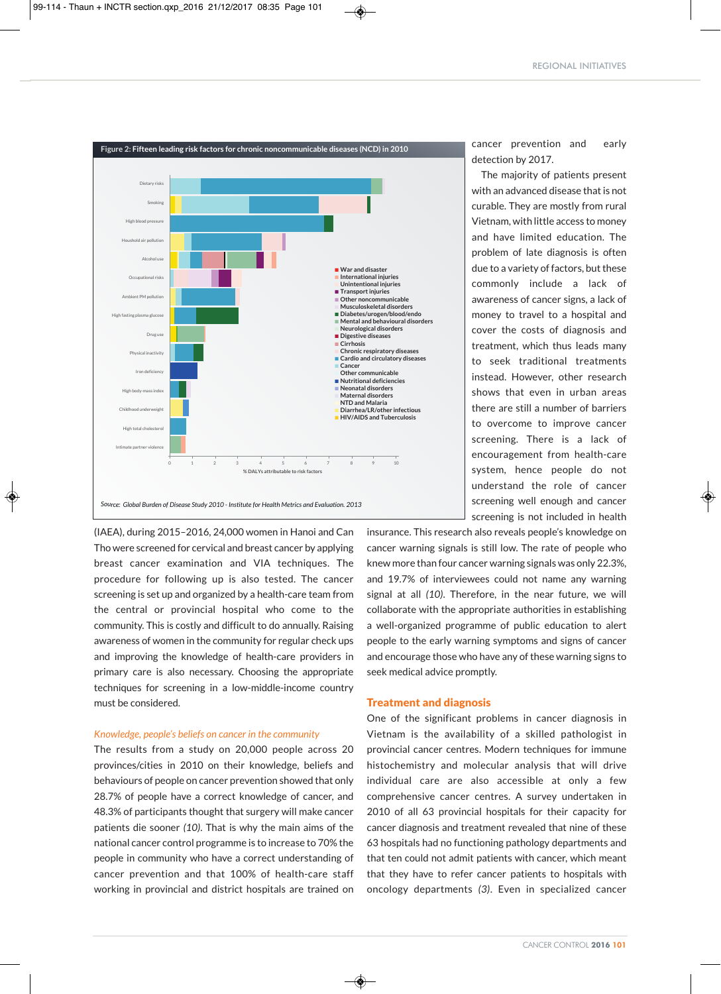

◈

(IAEA), during 2015–2016, 24,000 women in Hanoi and Can Tho were screened for cervical and breast cancer by applying breast cancer examination and VIA techniques. The procedure for following up is also tested. The cancer screening is set up and organized by a health-care team from the central or provincial hospital who come to the community. This is costly and difficult to do annually. Raising awareness of women in the community for regular check ups and improving the knowledge of health-care providers in primary care is also necessary. Choosing the appropriate techniques for screening in a low-middle-income country must be considered.

## *Knowledge, people's beliefs on cancer in the community*

The results from a study on 20,000 people across 20 provinces/cities in 2010 on their knowledge, beliefs and behaviours of people on cancer prevention showed that only 28.7% of people have a correct knowledge of cancer, and 48.3% of participants thought that surgery will make cancer patients die sooner *(10)*. That is why the main aims of the national cancer control programme is to increase to 70% the people in community who have a correct understanding of cancer prevention and that 100% of health-care staff working in provincial and district hospitals are trained on cancer prevention and early detection by 2017.

The majority of patients present with an advanced disease that is not curable. They are mostly from rural Vietnam, with little access to money and have limited education. The problem of late diagnosis is often due to a variety of factors, but these commonly include a lack of awareness of cancer signs, a lack of money to travel to a hospital and cover the costs of diagnosis and treatment, which thus leads many to seek traditional treatments instead. However, other research shows that even in urban areas there are still a number of barriers to overcome to improve cancer screening. There is a lack of encouragement from health-care system, hence people do not understand the role of cancer screening well enough and cancer screening is not included in health

insurance. This research also reveals people's knowledge on cancer warning signals is still low. The rate of people who knew more than four cancer warning signals was only 22.3%, and 19.7% of interviewees could not name any warning signal at all *(10)*. Therefore, in the near future, we will collaborate with the appropriate authorities in establishing a well-organized programme of public education to alert people to the early warning symptoms and signs of cancer and encourage those who have any of these warning signs to seek medical advice promptly.

# Treatment and diagnosis

◈

One of the significant problems in cancer diagnosis in Vietnam is the availability of a skilled pathologist in provincial cancer centres. Modern techniques for immune histochemistry and molecular analysis that will drive individual care are also accessible at only a few comprehensive cancer centres. A survey undertaken in 2010 of all 63 provincial hospitals for their capacity for cancer diagnosis and treatment revealed that nine of these 63 hospitals had no functioning pathology departments and that ten could not admit patients with cancer, which meant that they have to refer cancer patients to hospitals with oncology departments *(3)*. Even in specialized cancer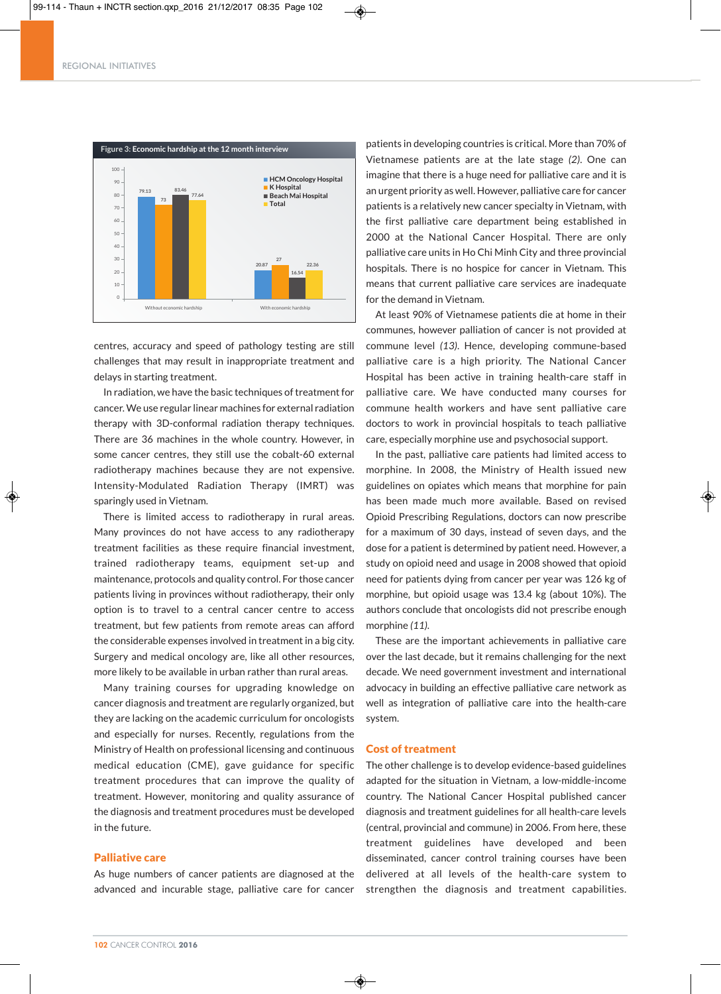#### REGIONAL INITIATIVES



◈

centres, accuracy and speed of pathology testing are still L challenges that may result in inappropriate treatment and delays in starting treatment.

In radiation, we have the basic techniques of treatment for cancer.We use regular linear machines for external radiation therapy with 3D-conformal radiation therapy techniques. There are 36 machines in the whole country. However, in some cancer centres, they still use the cobalt-60 external radiotherapy machines because they are not expensive. Intensity-Modulated Radiation Therapy (IMRT) was sparingly used in Vietnam.

There is limited access to radiotherapy in rural areas. Many provinces do not have access to any radiotherapy treatment facilities as these require financial investment, trained radiotherapy teams, equipment set-up and maintenance, protocols and quality control. For those cancer patients living in provinces without radiotherapy, their only **A** option is to travel to a central cancer centre to access treatment, but few patients from remote areas can afford the considerable expenses involved in treatment in a big city. Surgery and medical oncology are, like all other resources, more likely to be available in urban rather than rural areas.

Many training courses for upgrading knowledge on cancer diagnosis and treatment are regularly organized, but they are lacking on the academic curriculum for oncologists and especially for nurses. Recently, regulations from the Ministry of Health on professional licensing and continuous medical education (CME), gave guidance for specific treatment procedures that can improve the quality of treatment. However, monitoring and quality assurance of the diagnosis and treatment procedures must be developed in the future.

# Palliative care

As huge numbers of cancer patients are diagnosed at the advanced and incurable stage, palliative care for cancer patients in developing countries is critical. More than 70% of Vietnamese patients are at the late stage *(2)*. One can imagine that there is a huge need for palliative care and it is an urgent priority as well. However, palliative care for cancer patients is a relatively new cancer specialty in Vietnam, with the first palliative care department being established in 2000 at the National Cancer Hospital. There are only palliative care units in Ho Chi Minh City and three provincial hospitals. There is no hospice for cancer in Vietnam. This means that current palliative care services are inadequate for the demand in Vietnam.

At least 90% of Vietnamese patients die at home in their communes, however palliation of cancer is not provided at commune level *(13)*. Hence, developing commune-based palliative care is a high priority. The National Cancer Hospital has been active in training health-care staff in palliative care. We have conducted many courses for commune health workers and have sent palliative care doctors to work in provincial hospitals to teach palliative care, especially morphine use and psychosocial support.

In the past, palliative care patients had limited access to morphine. In 2008, the Ministry of Health issued new guidelines on opiates which means that morphine for pain has been made much more available. Based on revised Opioid Prescribing Regulations, doctors can now prescribe for a maximum of 30 days, instead of seven days, and the dose for a patient is determined by patient need. However, a study on opioid need and usage in 2008 showed that opioid need for patients dying from cancer per year was 126 kg of morphine, but opioid usage was 13.4 kg (about 10%). The authors conclude that oncologists did not prescribe enough morphine *(11)*.

These are the important achievements in palliative care over the last decade, but it remains challenging for the next decade. We need government investment and international advocacy in building an effective palliative care network as well as integration of palliative care into the health-care system.

# Cost of treatment

The other challenge is to develop evidence-based guidelines adapted for the situation in Vietnam, a low-middle-income country. The National Cancer Hospital published cancer diagnosis and treatment guidelines for all health-care levels (central, provincial and commune) in 2006. From here, these treatment guidelines have developed and been disseminated, cancer control training courses have been delivered at all levels of the health-care system to strengthen the diagnosis and treatment capabilities.

◈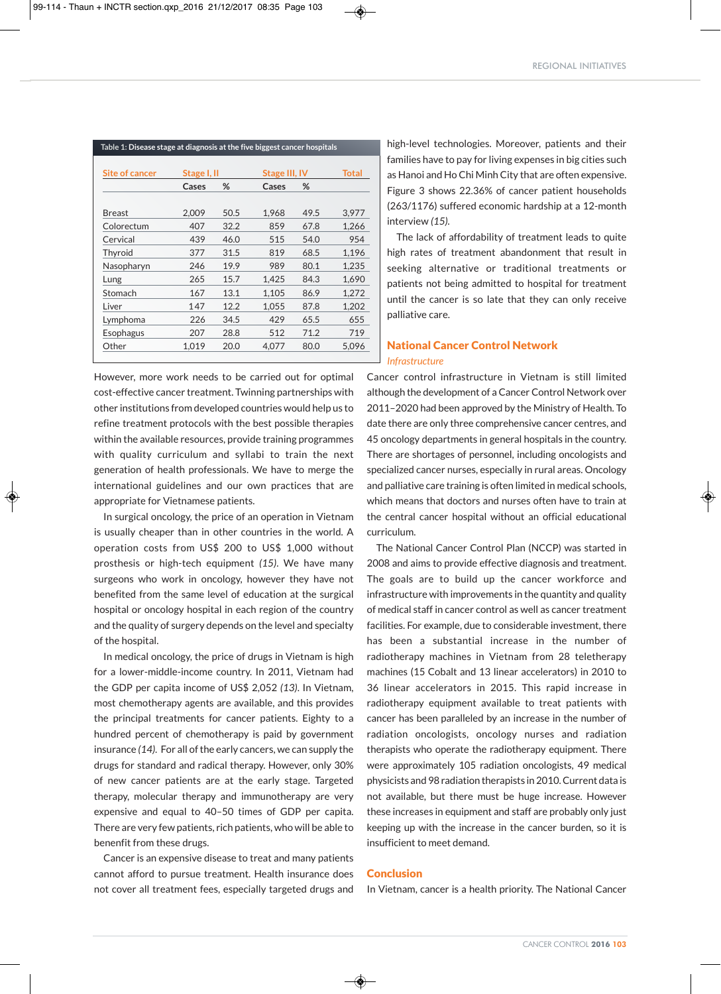| Table 1: Disease stage at diagnosis at the five biggest cancer hospitals |             |      |                      |      |       |
|--------------------------------------------------------------------------|-------------|------|----------------------|------|-------|
| <b>Site of cancer</b>                                                    | Stage I, II |      | <b>Stage III, IV</b> |      | Total |
|                                                                          | Cases       | %    | Cases                | %    |       |
|                                                                          |             |      |                      |      |       |
| <b>Breast</b>                                                            | 2.009       | 50.5 | 1.968                | 49.5 | 3,977 |
| Colorectum                                                               | 407         | 32.2 | 859                  | 67.8 | 1,266 |
| Cervical                                                                 | 439         | 46.0 | 515                  | 54.0 | 954   |
| Thyroid                                                                  | 377         | 31.5 | 819                  | 68.5 | 1,196 |
| Nasopharyn                                                               | 246         | 19.9 | 989                  | 80.1 | 1,235 |
| Lung                                                                     | 265         | 15.7 | 1.425                | 84.3 | 1,690 |
| Stomach                                                                  | 167         | 13.1 | 1,105                | 86.9 | 1,272 |
| Liver                                                                    | 147         | 12.2 | 1.055                | 87.8 | 1,202 |
| Lymphoma                                                                 | 226         | 34.5 | 429                  | 65.5 | 655   |
| Esophagus                                                                | 207         | 28.8 | 512                  | 71.2 | 719   |
| Other                                                                    | 1.019       | 20.0 | 4.077                | 80.0 | 5.096 |

However, more work needs to be carried out for optimal cost-effective cancer treatment. Twinning partnerships with other institutions from developed countries would help us to refine treatment protocols with the best possible therapies within the available resources, provide training programmes with quality curriculum and syllabi to train the next generation of health professionals. We have to merge the international guidelines and our own practices that are appropriate for Vietnamese patients.

In surgical oncology, the price of an operation in Vietnam is usually cheaper than in other countries in the world. A operation costs from US\$ 200 to US\$ 1,000 without prosthesis or high-tech equipment *(15)*. We have many surgeons who work in oncology, however they have not benefited from the same level of education at the surgical hospital or oncology hospital in each region of the country and the quality of surgery depends on the level and specialty of the hospital.

In medical oncology, the price of drugs in Vietnam is high for a lower-middle-income country. In 2011, Vietnam had the GDP per capita income of US\$ 2,052 *(13)*. In Vietnam, most chemotherapy agents are available, and this provides the principal treatments for cancer patients. Eighty to a hundred percent of chemotherapy is paid by government insurance (14). For all of the early cancers, we can supply the drugs for standard and radical therapy. However, only 30% of new cancer patients are at the early stage. Targeted therapy, molecular therapy and immunotherapy are very expensive and equal to 40–50 times of GDP per capita. There are very few patients, rich patients, who will be able to benenfit from these drugs.

Cancer is an expensive disease to treat and many patients cannot afford to pursue treatment. Health insurance does not cover all treatment fees, especially targeted drugs and

high-level technologies. Moreover, patients and their families have to pay for living expenses in big cities such as Hanoi and Ho Chi Minh City that are often expensive. Figure 3 shows 22.36% of cancer patient households (263/1176) suffered economic hardship at a 12-month interview *(15).*

The lack of affordability of treatment leads to quite high rates of treatment abandonment that result in seeking alternative or traditional treatments or patients not being admitted to hospital for treatment until the cancer is so late that they can only receive palliative care.

# National Cancer Control Network *Infrastructure*

Cancer control infrastructure in Vietnam is still limited although the development of a Cancer Control Network over 2011–2020 had been approved by the Ministry of Health. To date there are only three comprehensive cancer centres, and 45 oncology departments in general hospitals in the country. There are shortages of personnel, including oncologists and specialized cancer nurses, especially in rural areas. Oncology and palliative care training is often limited in medical schools, which means that doctors and nurses often have to train at the central cancer hospital without an official educational curriculum.

The National Cancer Control Plan (NCCP) was started in 2008 and aims to provide effective diagnosis and treatment. The goals are to build up the cancer workforce and infrastructure with improvements in the quantity and quality of medical staff in cancer control as well as cancer treatment facilities. For example, due to considerable investment, there has been a substantial increase in the number of radiotherapy machines in Vietnam from 28 teletherapy machines (15 Cobalt and 13 linear accelerators) in 2010 to 36 linear accelerators in 2015. This rapid increase in radiotherapy equipment available to treat patients with cancer has been paralleled by an increase in the number of radiation oncologists, oncology nurses and radiation therapists who operate the radiotherapy equipment. There were approximately 105 radiation oncologists, 49 medical physicists and 98 radiation therapists in 2010.Current data is not available, but there must be huge increase. However these increases in equipment and staff are probably only just keeping up with the increase in the cancer burden, so it is insufficient to meet demand.

# **Conclusion**

◈

In Vietnam, cancer is a health priority. The National Cancer